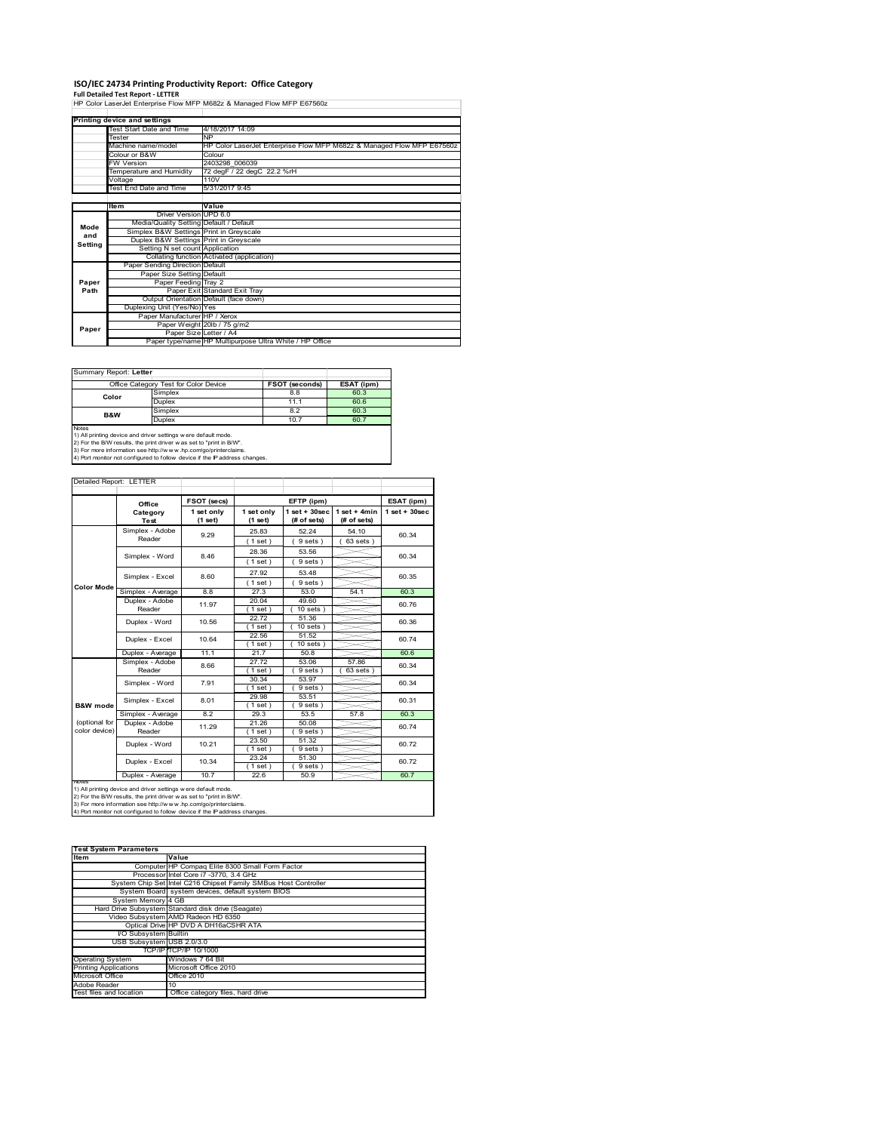### **ISO/IEC 24734 Printing Productivity Report: Office Category**

**Full Detailed Test Report ‐ LETTER** HP Color LaserJet Enterprise Flow MFP M682z & Managed Flow MFP E67560z

|         | Printing device and settings            |                                                                                               |  |  |  |  |
|---------|-----------------------------------------|-----------------------------------------------------------------------------------------------|--|--|--|--|
|         | Test Start Date and Time                | 4/18/2017 14:09                                                                               |  |  |  |  |
|         | Tester                                  | <b>NP</b><br>HP Color LaserJet Enterprise Flow MFP M682z & Managed Flow MFP E67560z<br>Colour |  |  |  |  |
|         | Machine name/model                      |                                                                                               |  |  |  |  |
|         | Colour or B&W                           |                                                                                               |  |  |  |  |
|         | <b>FW Version</b>                       | 2403298 006039                                                                                |  |  |  |  |
|         | Temperature and Humidity                | 72 degF / 22 degC 22.2 %rH                                                                    |  |  |  |  |
|         | Voltage                                 | 110V                                                                                          |  |  |  |  |
|         | <b>Test End Date and Time</b>           | 5/31/2017 9:45                                                                                |  |  |  |  |
|         |                                         |                                                                                               |  |  |  |  |
|         | <b>Item</b>                             | Value                                                                                         |  |  |  |  |
|         | Driver Version UPD 6.0                  |                                                                                               |  |  |  |  |
| Mode    | Media/Quality Setting Default / Default |                                                                                               |  |  |  |  |
| and     | Simplex B&W Settings Print in Greyscale |                                                                                               |  |  |  |  |
| Setting | Duplex B&W Settings Print in Greyscale  |                                                                                               |  |  |  |  |
|         | Setting N set count Application         |                                                                                               |  |  |  |  |
|         |                                         | Collating function Activated (application)                                                    |  |  |  |  |
|         | Paper Sending Direction Default         |                                                                                               |  |  |  |  |
|         | Paper Size Setting Default              |                                                                                               |  |  |  |  |
| Paper   | Paper Feeding Tray 2                    |                                                                                               |  |  |  |  |
| Path    |                                         | Paper Exit Standard Exit Tray                                                                 |  |  |  |  |
|         |                                         | Output Orientation Default (face down)                                                        |  |  |  |  |
|         | Duplexing Unit (Yes/No) Yes             |                                                                                               |  |  |  |  |
|         | Paper Manufacturer HP / Xerox           |                                                                                               |  |  |  |  |
| Paper   |                                         | Paper Weight 20lb / 75 g/m2                                                                   |  |  |  |  |
|         |                                         | Paper Size Letter / A4                                                                        |  |  |  |  |
|         |                                         | Paper type/name HP Multipurpose Ultra White / HP Office                                       |  |  |  |  |

|                | Office Category Test for Color Device | <b>FSOT (seconds)</b> | ESAT (ipm) |
|----------------|---------------------------------------|-----------------------|------------|
| Color          | Simplex                               | 8.8                   | 60.3       |
|                | <b>Duplex</b>                         | 11.1                  | 60.6       |
| <b>B&amp;W</b> | Simplex                               | 8.2                   | 60.3       |
|                | <b>Duplex</b>                         | 10.7                  | 60.7       |

2) For the B/W results, the print driver w as set to "print in B/W".<br>3) For more information see http://w w w .hp.com/go/printerclaims.<br>4) Port monitor not configured to follow device if the IP address changes.

| Detailed Report: LETTER        |                           |                       |                       |                                   |                               |                   |
|--------------------------------|---------------------------|-----------------------|-----------------------|-----------------------------------|-------------------------------|-------------------|
|                                | Office                    | FSOT (secs)           |                       | EFTP (ipm)                        |                               | ESAT (ipm)        |
|                                | Category<br><b>Test</b>   | 1 set only<br>(1 set) | 1 set only<br>(1 set) | $1$ set + $30$ sec<br>(# of sets) | $1$ set + 4min<br>(# of sets) | $1$ set $+30$ sec |
|                                | Simplex - Adobe<br>Reader | 9.29                  | 25.83<br>(1 set)      | 52.24<br>9 sets)                  | 54.10<br>$63$ sets)           | 60.34             |
|                                | Simplex - Word            | 8.46                  | 28.36<br>(1 set)      | 53.56<br>9 sets)                  |                               | 60.34             |
|                                | Simplex - Excel           | 8.60                  | 27.92<br>(1 set)      | 53.48<br>9 sets)                  |                               | 60.35             |
| <b>Color Mode</b>              | Simplex - Average         | 8.8                   | 27.3                  | 53.0                              | 54.1                          | 60.3              |
|                                | Duplex - Adobe<br>Reader  | 11.97                 | 20.04<br>(1 set)      | 49.60<br>$10$ sets $)$            |                               | 60.76             |
|                                | Duplex - Word             | 10.56                 | 22.72<br>$1$ set $)$  | 51.36<br>$10$ sets $)$            |                               | 60.36             |
|                                | Duplex - Excel            | 10.64                 | 22.56<br>$1$ set)     | 51.52<br>$10$ sets $)$            |                               | 60.74             |
|                                | Duplex - Average          | 11.1                  | 21.7                  | 50.8                              |                               | 60.6              |
|                                | Simplex - Adobe<br>Reader | 8.66                  | 27.72<br>(1 set)      | 53.06<br>9 sets)                  | 57.86<br>$63$ sets $)$        | 60.34             |
|                                | Simplex - Word            | 7.91                  | 30.34<br>$1$ set)     | 53.97<br>9 sets)                  |                               | 60.34             |
| B&W mode                       | Simplex - Excel           | 8.01                  | 29.98<br>$1$ set)     | 53.51<br>$9 sets$ )               |                               | 60.31             |
|                                | Simplex - Average         | 8.2                   | 29.3                  | 53.5                              | 57.8                          | 60.3              |
| (optional for<br>color device) | Duplex - Adobe<br>Reader  | 11.29                 | 21.26<br>$1$ set)     | 50.08<br>9 sets)                  |                               | 60.74             |
|                                | Duplex - Word             | 10.21                 | 23.50<br>$1$ set)     | 51.32<br>9 sets)                  |                               | 60.72             |
|                                | Duplex - Excel            | 10.34                 | 23.24<br>$1$ set)     | 51.30<br>9 sets)                  |                               | 60.72             |
|                                | Duplex - Average          | 10.7                  | 22.6                  | 50.9                              |                               | 60.7              |

Notes<br>1) All printing device and driver settings were default mode.<br>2) For the B/W results, the print driver was set to "print in B/W".<br>3) For more information see http://www.hp.com/go/printercialms.<br>4) Por more informati

| <b>Test System Parameters</b> |                                                                 |  |  |
|-------------------------------|-----------------------------------------------------------------|--|--|
| Item                          | Value                                                           |  |  |
|                               | Computer HP Compaq Elite 8300 Small Form Factor                 |  |  |
|                               | Processor Intel Core i7 -3770, 3.4 GHz                          |  |  |
|                               | System Chip Set Intel C216 Chipset Family SMBus Host Controller |  |  |
|                               | System Board system devices, default system BIOS                |  |  |
| System Memory 4 GB            |                                                                 |  |  |
|                               | Hard Drive Subsystem Standard disk drive (Seagate)              |  |  |
|                               | Video Subsystem AMD Radeon HD 6350                              |  |  |
|                               | Optical Drive HP DVD A DH16aCSHR ATA                            |  |  |
| I/O Subsystem Builtin         |                                                                 |  |  |
| USB Subsystem USB 2.0/3.0     |                                                                 |  |  |
|                               | TCP/IPITCP/IP 10/1000                                           |  |  |
| <b>Operating System</b>       | Windows 7 64 Bit                                                |  |  |
| <b>Printing Applications</b>  | Microsoft Office 2010                                           |  |  |
| Microsoft Office              | Office 2010                                                     |  |  |
| Adobe Reader                  | 10                                                              |  |  |
| Test files and location       | Office category files, hard drive                               |  |  |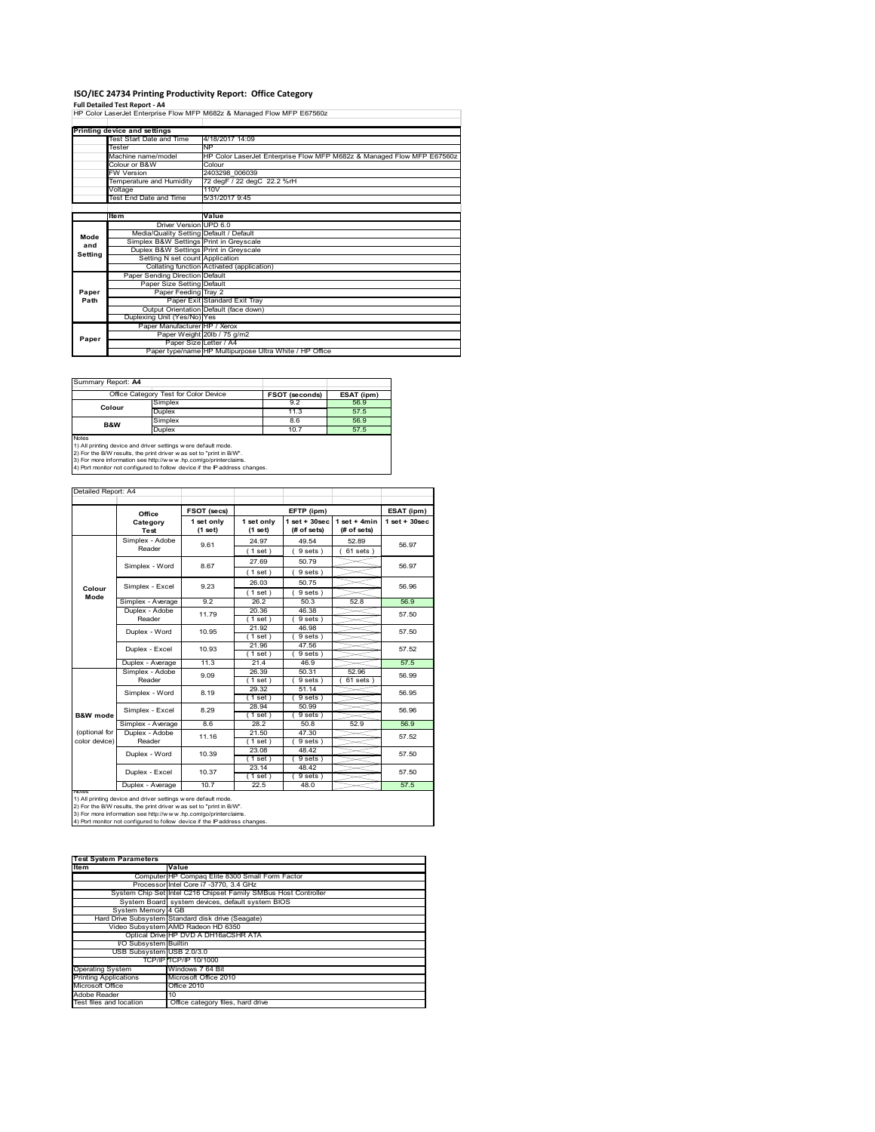# **ISO/IEC 24734 Printing Productivity Report: Office Category<br>Full Detailed Test Report - A4<br>HP Color LaserJet Enterprise Flow MFP M682z & Managed Flow MFP E67560z**

|         | Printing device and settings            |                                                                        |
|---------|-----------------------------------------|------------------------------------------------------------------------|
|         |                                         |                                                                        |
|         | Test Start Date and Time                | 4/18/2017 14:09                                                        |
|         | Tester                                  | <b>NP</b>                                                              |
|         | Machine name/model                      | HP Color LaserJet Enterprise Flow MFP M682z & Managed Flow MFP E67560z |
|         | Colour or B&W                           | Colour                                                                 |
|         | <b>FW Version</b>                       | 2403298 006039                                                         |
|         | Temperature and Humidity                | 72 degF / 22 degC 22.2 %rH                                             |
|         | Voltage                                 | 110V                                                                   |
|         | Test End Date and Time                  | 5/31/2017 9:45                                                         |
|         |                                         |                                                                        |
|         | <b>Item</b>                             | Value                                                                  |
|         | Driver Version UPD 6.0                  |                                                                        |
| Mode    | Media/Quality Setting Default / Default |                                                                        |
| and     | Simplex B&W Settings Print in Greyscale |                                                                        |
| Setting | Duplex B&W Settings Print in Greyscale  |                                                                        |
|         | Setting N set count Application         |                                                                        |
|         |                                         | Collating function Activated (application)                             |
|         | Paper Sending Direction Default         |                                                                        |
|         | Paper Size Setting Default              |                                                                        |
| Paper   | Paper Feeding Tray 2                    |                                                                        |
| Path    |                                         | Paper Exit Standard Exit Tray                                          |
|         |                                         | Output Orientation Default (face down)                                 |
|         | Duplexing Unit (Yes/No) Yes             |                                                                        |
|         | Paper Manufacturer HP / Xerox           |                                                                        |
|         |                                         | Paper Weight 20lb / 75 g/m2                                            |
| Paper   |                                         | Paper Size Letter / A4                                                 |
|         |                                         | Paper type/name HP Multipurpose Ultra White / HP Office                |

Ē,

Summary Report: **A4**

| Office Category Test for Color Device |                                                                            | <b>FSOT (seconds)</b> | ESAT (ipm) |  |  |
|---------------------------------------|----------------------------------------------------------------------------|-----------------------|------------|--|--|
| Colour                                | Simplex                                                                    | 9.2                   | 56.9       |  |  |
|                                       | <b>Duplex</b>                                                              | 11.3                  | 57.5       |  |  |
| <b>B&amp;W</b>                        | Simplex                                                                    | 8.6                   | 56.9       |  |  |
|                                       | <b>Duplex</b>                                                              | 10.7                  | 57.5       |  |  |
| Notes                                 |                                                                            |                       |            |  |  |
|                                       | 1) All printing device and driver settings w ere default mode.             |                       |            |  |  |
|                                       | 2) For the B/W results, the print driver w as set to "print in B/W".       |                       |            |  |  |
|                                       | 3) For more information see http://www.hp.com/go/printerclaims.            |                       |            |  |  |
|                                       | 4) Port monitor not configured to follow device if the IP address changes. |                       |            |  |  |

| Detailed Report: A4            |                           |                       |                       |                                |                               |                 |
|--------------------------------|---------------------------|-----------------------|-----------------------|--------------------------------|-------------------------------|-----------------|
|                                | Office                    | FSOT (secs)           |                       | EFTP (ipm)                     |                               | ESAT (ipm)      |
|                                | Category<br>Test          | 1 set only<br>(1 set) | 1 set only<br>(1 set) | $1$ set + 30sec<br>(# of sets) | $1$ set + 4min<br>(# of sets) | $1$ set + 30sec |
|                                | Simplex - Adobe<br>Reader | 9.61                  | 24.97<br>(1 set)      | 49.54<br>9 sets)               | 52.89<br>$61$ sets)           | 56.97           |
|                                | Simplex - Word            | 8.67                  | 27.69                 | 50.79                          |                               | 56.97           |
| Colour                         | Simplex - Excel           | 9.23                  | (1 set)<br>26.03      | 9 sets)<br>50.75               |                               | 56.96           |
| Mode                           | Simplex - Average         | 92                    | (1 set)<br>26.2       | 9 sets<br>50.3                 | 52.8                          | 56.9            |
|                                | Duplex - Adobe<br>Reader  | 11.79                 | 20.36<br>$1$ set)     | 46.38<br>9 sets)               |                               | 57.50           |
|                                | Duplex - Word             | 10.95                 | 21.92<br>$1$ set)     | 46.98<br>9 sets)               |                               | 57.50           |
|                                | Duplex - Excel            | 10.93                 | 21.96<br>$1$ set)     | 47.56<br>9 sets)               |                               | 57.52           |
|                                | Duplex - Average          | 11.3                  | 21.4                  | 46.9                           |                               | 57.5            |
|                                | Simplex - Adobe<br>Reader | 9.09                  | 26.39<br>$1$ set      | 50.31<br>9 sets)               | 52.96<br>61 sets              | 56.99           |
|                                | Simplex - Word            | 8.19                  | 29.32<br>$1$ set)     | 51.14<br>9 sets)               |                               | 56.95           |
| <b>B&amp;W</b> mode            | Simplex - Excel           | 8.29                  | 28.94<br>$1$ set)     | 50.99<br>9 sets)               |                               | 56.96           |
|                                | Simplex - Average         | 86                    | 28.2                  | 50.8                           | 52.9                          | 56.9            |
| (optional for<br>color device) | Duplex - Adobe<br>Reader  | 11.16                 | 21.50<br>$1$ set      | 47.30<br>9 sets                |                               | 57.52           |
|                                | Duplex - Word             | 10.39                 | 23.08<br>$1$ set)     | 48.42<br>9 sets)               |                               | 57.50           |
|                                | Duplex - Excel            | 10.37                 | 23.14<br>$1$ set)     | 48.42<br>9 sets)               |                               | 57.50           |
| <b>NOtes</b>                   | Duplex - Average          | 10.7                  | 22.5                  | 48.0                           |                               | 57.5            |

nous<br>1) All printing device and driver settings were default mode.<br>2) For the B/W results, the print driver was set to "print in B/W".<br>3) For more information see http://www.hp.com/go/printerclaims.<br>4) Por monitor not conf

| <b>Test System Parameters</b> |                                                                 |  |  |  |
|-------------------------------|-----------------------------------------------------------------|--|--|--|
| Item                          | Value                                                           |  |  |  |
|                               | Computer HP Compaq Elite 8300 Small Form Factor                 |  |  |  |
|                               | Processor Intel Core i7 -3770, 3.4 GHz                          |  |  |  |
|                               | System Chip Set Intel C216 Chipset Family SMBus Host Controller |  |  |  |
|                               | System Board system devices, default system BIOS                |  |  |  |
| System Memory 4 GB            |                                                                 |  |  |  |
|                               | Hard Drive Subsystem Standard disk drive (Seagate)              |  |  |  |
|                               | Video Subsystem AMD Radeon HD 6350                              |  |  |  |
|                               | Optical Drive HP DVD A DH16aCSHR ATA                            |  |  |  |
| I/O Subsystem Builtin         |                                                                 |  |  |  |
| USB Subsystem USB 2.0/3.0     |                                                                 |  |  |  |
|                               | TCP/IP TCP/IP 10/1000                                           |  |  |  |
| <b>Operating System</b>       | Windows 7 64 Bit                                                |  |  |  |
| <b>Printing Applications</b>  | Microsoft Office 2010                                           |  |  |  |
| Microsoft Office              | Office 2010                                                     |  |  |  |
| Adobe Reader                  | 10                                                              |  |  |  |
| Test files and location       | Office category files, hard drive                               |  |  |  |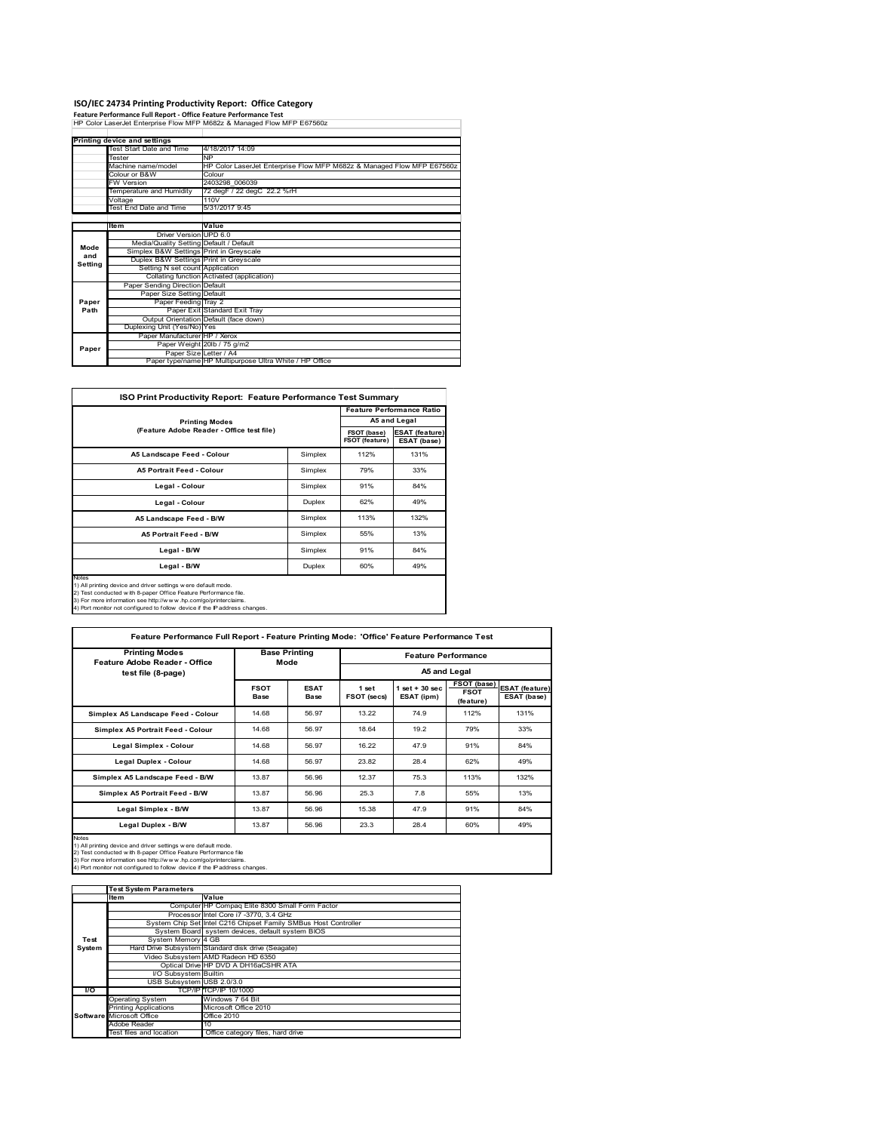**ISO/IEC 24734 Printing Productivity Report: Office Category Feature Performance Full Report ‐ Office Feature Performance Test** HP Color LaserJet Enterprise Flow MFP M682z & Managed Flow MFP E67560z

|         | Printing device and settings            |                                                                                               |  |  |  |  |
|---------|-----------------------------------------|-----------------------------------------------------------------------------------------------|--|--|--|--|
|         | Test Start Date and Time                | 4/18/2017 14:09                                                                               |  |  |  |  |
|         | Tester                                  | <b>NP</b><br>HP Color LaserJet Enterprise Flow MFP M682z & Managed Flow MFP E67560z<br>Colour |  |  |  |  |
|         | Machine name/model                      |                                                                                               |  |  |  |  |
|         | Colour or B&W                           |                                                                                               |  |  |  |  |
|         | <b>FW Version</b>                       | 2403298 006039                                                                                |  |  |  |  |
|         | Temperature and Humidity                | 72 degF / 22 degC 22.2 %rH                                                                    |  |  |  |  |
|         | Voltage                                 | 110V                                                                                          |  |  |  |  |
|         | Test End Date and Time                  | 5/31/2017 9:45                                                                                |  |  |  |  |
|         |                                         |                                                                                               |  |  |  |  |
|         | <b>Item</b>                             | Value                                                                                         |  |  |  |  |
|         | Driver Version UPD 6.0                  |                                                                                               |  |  |  |  |
| Mode    | Media/Quality Setting Default / Default |                                                                                               |  |  |  |  |
| and     | Simplex B&W Settings Print in Greyscale |                                                                                               |  |  |  |  |
| Setting | Duplex B&W Settings Print in Greyscale  |                                                                                               |  |  |  |  |
|         | Setting N set count Application         |                                                                                               |  |  |  |  |
|         |                                         | Collating function Activated (application)                                                    |  |  |  |  |
|         | Paper Sending Direction Default         |                                                                                               |  |  |  |  |
|         | Paper Size Setting Default              |                                                                                               |  |  |  |  |
| Paper   | Paper Feeding Tray 2                    |                                                                                               |  |  |  |  |
| Path    |                                         | Paper Exit Standard Exit Tray                                                                 |  |  |  |  |
|         |                                         | Output Orientation Default (face down)                                                        |  |  |  |  |
|         | Duplexing Unit (Yes/No) Yes             |                                                                                               |  |  |  |  |
|         | Paper Manufacturer HP / Xerox           |                                                                                               |  |  |  |  |
| Paper   |                                         | Paper Weight 20lb / 75 g/m2                                                                   |  |  |  |  |
|         |                                         | Paper Size Letter / A4                                                                        |  |  |  |  |
|         |                                         | Paper type/name HP Multipurpose Ultra White / HP Office                                       |  |  |  |  |

| <b>ISO Print Productivity Report: Feature Performance Test Summary</b>                                                                                                                                                                                                                      |                               |                                      |              |  |  |
|---------------------------------------------------------------------------------------------------------------------------------------------------------------------------------------------------------------------------------------------------------------------------------------------|-------------------------------|--------------------------------------|--------------|--|--|
|                                                                                                                                                                                                                                                                                             |                               |                                      |              |  |  |
| <b>Printing Modes</b>                                                                                                                                                                                                                                                                       |                               |                                      | A5 and Legal |  |  |
| (Feature Adobe Reader - Office test file)                                                                                                                                                                                                                                                   | FSOT (base)<br>FSOT (feature) | <b>ESAT (feature)</b><br>ESAT (base) |              |  |  |
| A5 Landscape Feed - Colour                                                                                                                                                                                                                                                                  | Simplex                       | 112%                                 | 131%         |  |  |
| <b>A5 Portrait Feed - Colour</b>                                                                                                                                                                                                                                                            | Simplex                       | 79%                                  | 33%          |  |  |
| Legal - Colour                                                                                                                                                                                                                                                                              | Simplex                       | 91%                                  | 84%          |  |  |
| Legal - Colour                                                                                                                                                                                                                                                                              | Duplex                        | 62%                                  | 49%          |  |  |
| A5 Landscape Feed - B/W                                                                                                                                                                                                                                                                     | Simplex                       | 113%                                 | 132%         |  |  |
| <b>A5 Portrait Feed - B/W</b>                                                                                                                                                                                                                                                               | Simplex                       | 55%                                  | 13%          |  |  |
| Legal - B/W                                                                                                                                                                                                                                                                                 | Simplex                       | 91%                                  | 84%          |  |  |
| Legal - B/W                                                                                                                                                                                                                                                                                 | Duplex                        | 60%                                  | 49%          |  |  |
| Notes<br>1) All printing device and driver settings w ere default mode.<br>2) Test conducted with 8-paper Office Feature Performance file.<br>3) For more information see http://www.hp.com/go/printerclaims.<br>4) Port monitor not configured to follow device if the IP address changes. |                               |                                      |              |  |  |

| <b>Printing Modes</b>                                                                                                                                                                                                                                                                             |                     | <b>Base Printing</b> |                      | <b>Feature Performance</b>      |                                         |                                      |  |
|---------------------------------------------------------------------------------------------------------------------------------------------------------------------------------------------------------------------------------------------------------------------------------------------------|---------------------|----------------------|----------------------|---------------------------------|-----------------------------------------|--------------------------------------|--|
| Feature Adobe Reader - Office<br>test file (8-page)                                                                                                                                                                                                                                               |                     | Mode                 | A5 and Legal         |                                 |                                         |                                      |  |
|                                                                                                                                                                                                                                                                                                   | <b>FSOT</b><br>Base | <b>ESAT</b><br>Base  | 1 set<br>FSOT (secs) | $1$ set $+30$ sec<br>ESAT (ipm) | FSOT (base)<br><b>FSOT</b><br>(feature) | <b>ESAT (feature)</b><br>ESAT (base) |  |
| Simplex A5 Landscape Feed - Colour                                                                                                                                                                                                                                                                | 14.68               | 56.97                | 13.22                | 74.9                            | 112%                                    | 131%                                 |  |
| Simplex A5 Portrait Feed - Colour                                                                                                                                                                                                                                                                 | 14.68               | 56.97                | 18.64                | 19.2                            | 79%                                     | 33%                                  |  |
| Legal Simplex - Colour                                                                                                                                                                                                                                                                            | 14.68               | 56.97                | 16.22                | 47.9                            | 91%                                     | 84%                                  |  |
| <b>Legal Duplex - Colour</b>                                                                                                                                                                                                                                                                      | 14.68               | 56.97                | 23.82                | 28.4                            | 62%                                     | 49%                                  |  |
| Simplex A5 Landscape Feed - B/W                                                                                                                                                                                                                                                                   | 13.87               | 56.96                | 12.37                | 75.3                            | 113%                                    | 132%                                 |  |
| Simplex A5 Portrait Feed - B/W                                                                                                                                                                                                                                                                    | 13.87               | 56.96                | 25.3                 | 7.8                             | 55%                                     | 13%                                  |  |
| Legal Simplex - B/W                                                                                                                                                                                                                                                                               | 13.87               | 56.96                | 15.38                | 47.9                            | 91%                                     | 84%                                  |  |
| Legal Duplex - B/W                                                                                                                                                                                                                                                                                | 13.87               | 56.96                | 23.3                 | 28.4                            | 60%                                     | 49%                                  |  |
| <b>Notes</b><br>1) All printing device and driver settings w ere default mode.<br>2) Test conducted with 8-paper Office Feature Performance file<br>3) For more information see http://www.hp.com/go/printerclaims.<br>4) Port monitor not configured to follow device if the IP address changes. |                     |                      |                      |                                 |                                         |                                      |  |

|        | <b>Test System Parameters</b> |                                                                 |
|--------|-------------------------------|-----------------------------------------------------------------|
|        | <b>Item</b>                   | Value                                                           |
|        |                               | Computer HP Compaq Elite 8300 Small Form Factor                 |
|        |                               | Processor Intel Core i7 -3770, 3.4 GHz                          |
|        |                               | System Chip Set Intel C216 Chipset Family SMBus Host Controller |
|        |                               | System Board system devices, default system BIOS                |
| Test   | System Memory 4 GB            |                                                                 |
| System |                               | Hard Drive Subsystem Standard disk drive (Seagate)              |
|        |                               | Video Subsystem AMD Radeon HD 6350                              |
|        |                               | Optical Drive HP DVD A DH16aCSHR ATA                            |
|        | <b>VO Subsystem Builtin</b>   |                                                                 |
|        | USB Subsystem USB 2.0/3.0     |                                                                 |
| l/O    |                               | TCP/IP TCP/IP 10/1000                                           |
|        | <b>Operating System</b>       | Windows 7 64 Bit                                                |
|        | <b>Printing Applications</b>  | Microsoft Office 2010                                           |
|        | Software Microsoft Office     | Office 2010                                                     |
|        | Adobe Reader                  | 10                                                              |
|        | Test files and location       | Office category files, hard drive                               |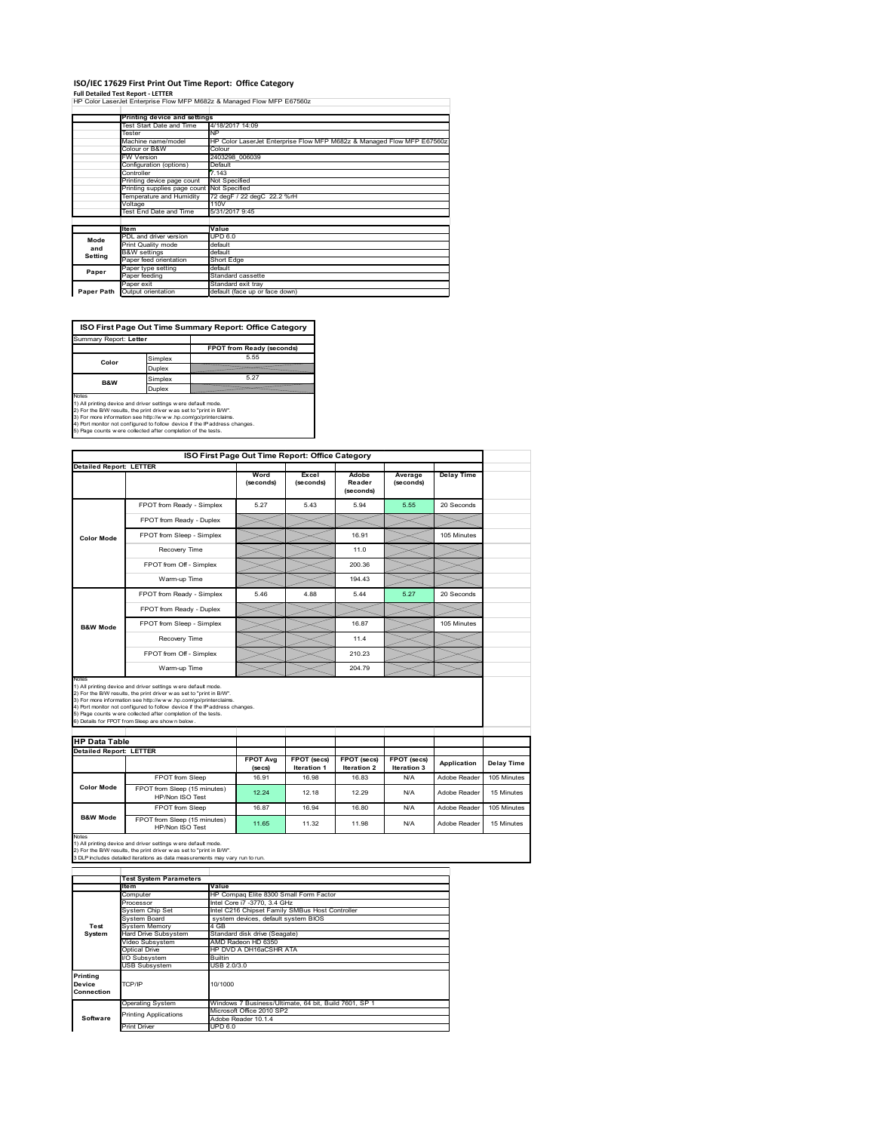### **ISO/IEC 17629 First Print Out Time Report: Office Category**

**Full Detailed Test Report ‐ LETTER** HP Color LaserJet Enterprise Flow MFP M682z & Managed Flow MFP E67560z

|            |                              | <u>HE CON LASSIVE ENGINISE FIUW INFF INDOZZ O INAHAUCU FIUW INFF EUTJULZ</u> |
|------------|------------------------------|------------------------------------------------------------------------------|
|            |                              |                                                                              |
|            | Printing device and settings |                                                                              |
|            | Test Start Date and Time     | 4/18/2017 14:09                                                              |
|            | Tester                       | NP                                                                           |
|            | Machine name/model           | HP Color LaserJet Enterprise Flow MFP M682z & Managed Flow MFP E67560z       |
|            | Colour or B&W                | Colour                                                                       |
|            | <b>FW Version</b>            | 2403298 006039                                                               |
|            | Configuration (options)      | Default                                                                      |
|            | Controller                   | 7.143                                                                        |
|            | Printing device page count   | Not Specified                                                                |
|            | Printing supplies page count | Not Specified                                                                |
|            | Temperature and Humidity     | 72 degF / 22 degC 22.2 %rH                                                   |
|            | Voltage                      | 110V                                                                         |
|            | Test End Date and Time       | 5/31/2017 9:45                                                               |
|            |                              |                                                                              |
|            | <b>Item</b>                  | Value                                                                        |
| Mode       | PDL and driver version       | <b>UPD 6.0</b>                                                               |
| and        | Print Quality mode           | default                                                                      |
| Setting    | <b>B&amp;W</b> settings      | default                                                                      |
|            | Paper feed orientation       | Short Edge                                                                   |
| Paper      | Paper type setting           | default                                                                      |
|            | Paper feeding                | Standard cassette                                                            |
|            | Paper exit                   | Standard exit tray                                                           |
| Paper Path | Output orientation           | default (face up or face down)                                               |

**ISO First Page Out Time Summary Report: Office Category**

Summary Report: **Letter FPOT from Ready (seconds)** Simplex **Color** uplex **B&W** Simplex 5.27 and the

Notes<br>1) All printing device and driver settings were default mode.<br>2) For the BW results, the print driver was set to "print in BW".<br>3) For more information see http://www.hp.com/golprinterclaims.<br>4) Rot monitor not confi

| <b>Detailed Report: LETTER</b> |                                                                                                                                                                                                                                                                                                                                                                                                              |                            | ISO First Page Out Time Report: Office Category |                                          |                            |                   |                           |
|--------------------------------|--------------------------------------------------------------------------------------------------------------------------------------------------------------------------------------------------------------------------------------------------------------------------------------------------------------------------------------------------------------------------------------------------------------|----------------------------|-------------------------------------------------|------------------------------------------|----------------------------|-------------------|---------------------------|
|                                |                                                                                                                                                                                                                                                                                                                                                                                                              |                            |                                                 |                                          |                            |                   |                           |
|                                |                                                                                                                                                                                                                                                                                                                                                                                                              | Word<br>(seconds)          | Excel<br>(seconds)                              | Adobe<br>Reader<br>(seconds)             | Average<br>(seconds)       | <b>Delay Time</b> |                           |
|                                | FPOT from Ready - Simplex                                                                                                                                                                                                                                                                                                                                                                                    | 5.27                       | 5.43                                            | 5.94                                     | 5.55                       | 20 Seconds        |                           |
|                                | FPOT from Ready - Duplex                                                                                                                                                                                                                                                                                                                                                                                     |                            |                                                 |                                          |                            |                   |                           |
| <b>Color Mode</b>              | FPOT from Sleep - Simplex                                                                                                                                                                                                                                                                                                                                                                                    |                            |                                                 | 16.91                                    |                            | 105 Minutes       |                           |
|                                | Recovery Time                                                                                                                                                                                                                                                                                                                                                                                                |                            |                                                 | 11.0                                     |                            |                   |                           |
|                                | FPOT from Off - Simplex                                                                                                                                                                                                                                                                                                                                                                                      |                            |                                                 | 200.36                                   |                            |                   |                           |
|                                | Warm-up Time                                                                                                                                                                                                                                                                                                                                                                                                 |                            |                                                 | 194 43                                   |                            |                   |                           |
|                                | FPOT from Ready - Simplex                                                                                                                                                                                                                                                                                                                                                                                    | 5.46                       | 4.88                                            | 5.44                                     | 5.27                       | 20 Seconds        |                           |
| <b>B&amp;W Mode</b>            | FPOT from Ready - Duplex                                                                                                                                                                                                                                                                                                                                                                                     |                            |                                                 |                                          |                            |                   |                           |
|                                | FPOT from Sleep - Simplex                                                                                                                                                                                                                                                                                                                                                                                    |                            |                                                 | 16.87                                    |                            | 105 Minutes       |                           |
|                                | Recovery Time                                                                                                                                                                                                                                                                                                                                                                                                |                            |                                                 | 114                                      |                            |                   |                           |
|                                |                                                                                                                                                                                                                                                                                                                                                                                                              |                            |                                                 |                                          |                            |                   |                           |
|                                | FPOT from Off - Simplex                                                                                                                                                                                                                                                                                                                                                                                      |                            |                                                 | 210.23                                   |                            |                   |                           |
|                                | Warm-up Time                                                                                                                                                                                                                                                                                                                                                                                                 |                            |                                                 | 204.79                                   |                            |                   |                           |
| Notes                          | 1) All printing device and driver settings w ere default mode.<br>2) For the B/W results, the print driver w as set to "print in B/W".<br>3) For more information see http://www.hp.com/go/printerclaims.<br>4) Port monitor not configured to follow device if the IP address changes.<br>5) Page counts w ere collected after completion of the tests.<br>6) Details for FPOT from Sleep are show n below. |                            |                                                 |                                          |                            |                   |                           |
| <b>HP Data Table</b>           |                                                                                                                                                                                                                                                                                                                                                                                                              |                            |                                                 |                                          |                            |                   |                           |
| <b>Detailed Report: LETTER</b> |                                                                                                                                                                                                                                                                                                                                                                                                              |                            |                                                 |                                          |                            |                   |                           |
|                                |                                                                                                                                                                                                                                                                                                                                                                                                              | <b>FPOT Avg</b><br>(se cs) | FPOT (secs)<br><b>Iteration 1</b>               | <b>FPOT (secs)</b><br><b>Iteration 2</b> | FPOT (secs)<br>Iteration 3 | Application       |                           |
|                                | FPOT from Sleep                                                                                                                                                                                                                                                                                                                                                                                              | 16.91                      | 16.98                                           | 16.83                                    | N/A                        | Adobe Reader      | Delay Time<br>105 Minutes |
| <b>Color Mode</b>              | FPOT from Sleep (15 minutes)<br>HP/Non ISO Test                                                                                                                                                                                                                                                                                                                                                              | 12.24                      | 12.18                                           | 12.29                                    | N/A                        | Adobe Reader      | 15 Minutes                |
|                                | FPOT from Sleep                                                                                                                                                                                                                                                                                                                                                                                              | 16.87                      | 16.94                                           | 16.80                                    | N/A                        | Adobe Reader      | 105 Minutes               |

Notes<br>1) All printing device and driver settings w ere default mode.<br>2) For the B/W results, the print driver w as set to "print in B/W".<br>3 DLP includes detailed iterations as data measurements may vary run to run.

|                                  | <b>Test System Parameters</b> |                                                       |  |  |  |  |
|----------------------------------|-------------------------------|-------------------------------------------------------|--|--|--|--|
|                                  | Item                          | Value                                                 |  |  |  |  |
|                                  | Computer                      | HP Compag Elite 8300 Small Form Factor                |  |  |  |  |
|                                  | Processor                     | Intel Core i7 -3770, 3.4 GHz                          |  |  |  |  |
|                                  | System Chip Set               | Intel C216 Chipset Family SMBus Host Controller       |  |  |  |  |
|                                  | System Board                  | system devices, default system BIOS                   |  |  |  |  |
| Test                             | <b>System Memory</b>          | 4 GB                                                  |  |  |  |  |
| System                           | <b>Hard Drive Subsystem</b>   | Standard disk drive (Seagate)                         |  |  |  |  |
|                                  | Video Subsystem               | AMD Radeon HD 6350                                    |  |  |  |  |
|                                  | Optical Drive                 | HP DVD A DH16aCSHR ATA                                |  |  |  |  |
|                                  | I/O Subsystem                 | <b>Builtin</b>                                        |  |  |  |  |
|                                  | <b>USB Subsystem</b>          | USB 2.0/3.0                                           |  |  |  |  |
| Printing<br>Device<br>Connection | TCP/IP                        | 10/1000                                               |  |  |  |  |
|                                  | <b>Operating System</b>       | Windows 7 Business/Ultimate, 64 bit, Build 7601, SP 1 |  |  |  |  |
| Software                         | <b>Printing Applications</b>  | Microsoft Office 2010 SP2<br>Adobe Reader 10.1.4      |  |  |  |  |
|                                  | <b>Print Driver</b>           | <b>UPD 6.0</b>                                        |  |  |  |  |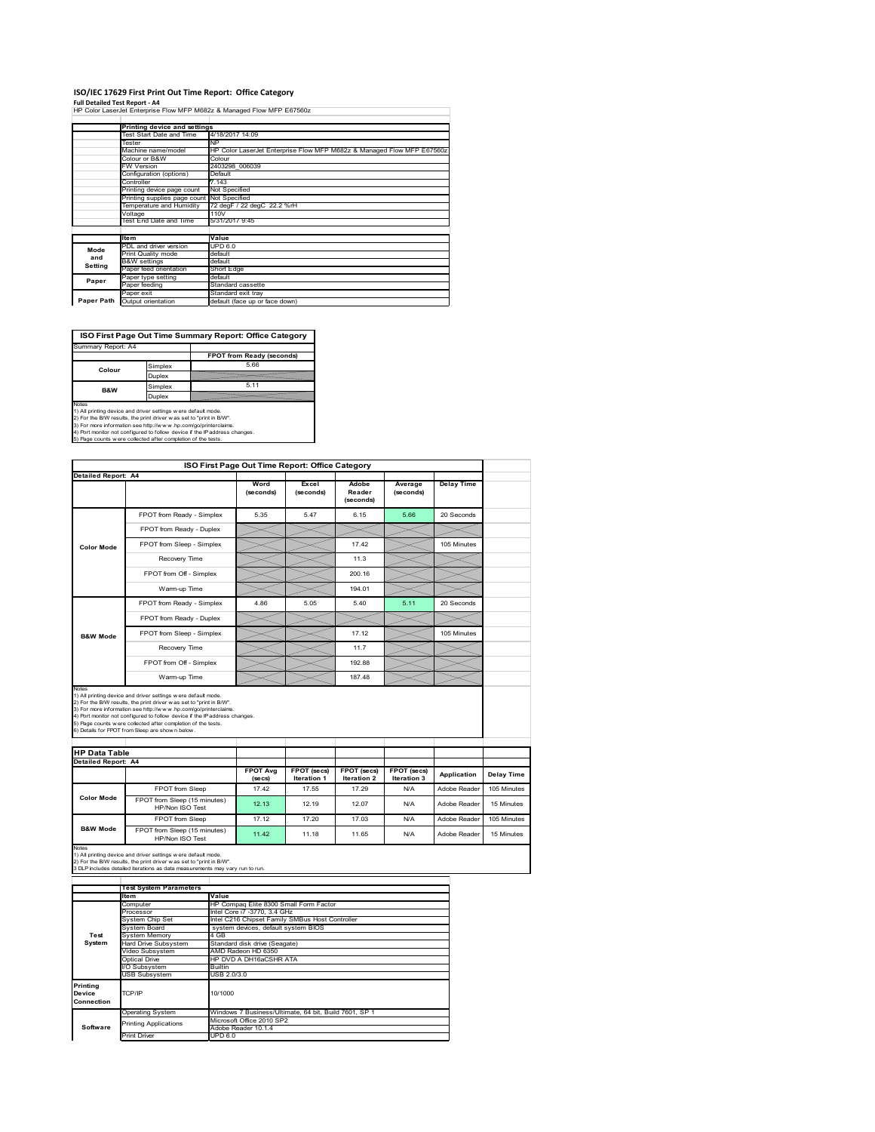## **ISO/IEC 17629 First Print Out Time Report: Office Category**

**Full Detailed Test Report ‐ A4** HP Color LaserJet Enterprise Flow MFP M682z & Managed Flow MFP E67560z

|            | Printing device and settings |                                                                        |
|------------|------------------------------|------------------------------------------------------------------------|
|            | Test Start Date and Time     | 4/18/2017 14:09                                                        |
|            | Tester                       | NP                                                                     |
|            | Machine name/model           | HP Color LaserJet Enterprise Flow MFP M682z & Managed Flow MFP E67560z |
|            | Colour or B&W                | Colour                                                                 |
|            | <b>FW Version</b>            | 2403298 006039                                                         |
|            | Configuration (options)      | Default                                                                |
|            | Controller                   | 7 143                                                                  |
|            | Printing device page count   | Not Specified                                                          |
|            | Printing supplies page count | Not Specified                                                          |
|            | Temperature and Humidity     | 72 degF / 22 degC 22.2 %rH                                             |
|            | Voltage                      | 110V                                                                   |
|            | Test End Date and Time       | 5/31/2017 9:45                                                         |
|            |                              |                                                                        |
|            | ltem                         | Value                                                                  |
| Mode       | PDL and driver version       | UPD 6.0                                                                |
| and        | Print Quality mode           | default                                                                |
| Setting    | <b>B&amp;W</b> settings      | default                                                                |
|            | Paper feed orientation       | Short Edge                                                             |
| Paper      | Paper type setting           | default                                                                |
|            | Paper feeding                | Standard cassette                                                      |
|            | Paper exit                   | Standard exit trav                                                     |
| Paper Path | Output orientation           | default (face up or face down)                                         |
|            |                              |                                                                        |



**Software**<br>
Print Driver<br>
Print Driver<br>
UPD 6.0

| <b>Detailed Report: A4</b>                  |                                                                                                                                                                                                                                                                 | ISO First Page Out Time Report: Office Category       |                            |                              |                      |                   |                           |
|---------------------------------------------|-----------------------------------------------------------------------------------------------------------------------------------------------------------------------------------------------------------------------------------------------------------------|-------------------------------------------------------|----------------------------|------------------------------|----------------------|-------------------|---------------------------|
|                                             |                                                                                                                                                                                                                                                                 |                                                       |                            |                              |                      |                   |                           |
|                                             |                                                                                                                                                                                                                                                                 | Word<br>(seconds)                                     | Excel<br>(seconds)         | Adobe<br>Reader<br>(seconds) | Average<br>(seconds) | <b>Delay Time</b> |                           |
|                                             | FPOT from Ready - Simplex                                                                                                                                                                                                                                       | 5.35                                                  | 5.47                       | 6.15                         | 5.66                 | 20 Seconds        |                           |
|                                             | FPOT from Ready - Duplex                                                                                                                                                                                                                                        |                                                       |                            |                              |                      |                   |                           |
| <b>Color Mode</b>                           | FPOT from Sleep - Simplex                                                                                                                                                                                                                                       |                                                       |                            | 17.42                        |                      | 105 Minutes       |                           |
|                                             | Recovery Time                                                                                                                                                                                                                                                   |                                                       |                            | 11.3                         |                      |                   |                           |
|                                             | FPOT from Off - Simplex                                                                                                                                                                                                                                         |                                                       |                            | 200.16                       |                      |                   |                           |
|                                             | Warm-up Time                                                                                                                                                                                                                                                    |                                                       |                            | 194.01                       |                      |                   |                           |
|                                             |                                                                                                                                                                                                                                                                 |                                                       |                            |                              |                      |                   |                           |
|                                             | FPOT from Ready - Simplex                                                                                                                                                                                                                                       | 4.86                                                  | 5.05                       | 5.40                         | 5.11                 | 20 Seconds        |                           |
|                                             | FPOT from Ready - Duplex                                                                                                                                                                                                                                        |                                                       |                            |                              |                      |                   |                           |
| <b>B&amp;W Mode</b>                         | FPOT from Sleep - Simplex                                                                                                                                                                                                                                       |                                                       |                            | 17.12                        |                      | 105 Minutes       |                           |
|                                             | Recovery Time                                                                                                                                                                                                                                                   |                                                       |                            | 11.7                         |                      |                   |                           |
|                                             | FPOT from Off - Simplex                                                                                                                                                                                                                                         |                                                       |                            | 192.88                       |                      |                   |                           |
|                                             | Warm-up Time                                                                                                                                                                                                                                                    |                                                       |                            | 187.48                       |                      |                   |                           |
| <b>HP Data Table</b><br>Detailed Report: A4 |                                                                                                                                                                                                                                                                 |                                                       |                            |                              |                      |                   |                           |
|                                             |                                                                                                                                                                                                                                                                 | <b>FPOT Avg</b><br>(secs)                             | FPOT (secs)<br>Iteration 1 | <b>FPOT</b> (secs)           | FPOT (secs)          |                   |                           |
|                                             | FPOT from Sleep                                                                                                                                                                                                                                                 | 17.42                                                 |                            | Iteration 2                  | Iteration 3          | Application       | Delay Time                |
| <b>Color Mode</b>                           |                                                                                                                                                                                                                                                                 |                                                       | 17.55                      | 17.29                        | N/A                  | Adobe Reader      |                           |
|                                             | FPOT from Sleep (15 minutes)<br>HP/Non ISO Test                                                                                                                                                                                                                 | 12.13                                                 | 12.19                      | 12.07                        | N/A                  | Adobe Reader      | 105 Minutes<br>15 Minutes |
|                                             | FPOT from Sleep                                                                                                                                                                                                                                                 | 17.12                                                 | 17.20                      | 17.03                        | N/A                  | Adobe Reader      |                           |
| <b>B&amp;W Mode</b>                         | FPOT from Sleep (15 minutes)<br>HP/Non ISO Test                                                                                                                                                                                                                 | 11.42                                                 | 11.18                      | 11.65                        | N/A                  | Adobe Reader      | 105 Minutes<br>15 Minutes |
|                                             | 1) All printing device and driver settings w ere default mode.<br>2) For the B/W results, the print driver w as set to "print in B/W".<br>3 DLP includes detailed iterations as data measurements may vary run to run.<br><b>Test System Parameters</b><br>Item | Value                                                 |                            |                              |                      |                   |                           |
|                                             | Computer                                                                                                                                                                                                                                                        | HP Compaq Elite 8300 Small Form Factor                |                            |                              |                      |                   |                           |
|                                             | Processor                                                                                                                                                                                                                                                       | Intel Core i7 -3770, 3.4 GHz                          |                            |                              |                      |                   |                           |
|                                             | System Chip Set                                                                                                                                                                                                                                                 | Intel C216 Chipset Family SMBus Host Controller       |                            |                              |                      |                   |                           |
| Test                                        | System Board                                                                                                                                                                                                                                                    | system devices, default system BIOS<br>$4$ GB         |                            |                              |                      |                   |                           |
| System                                      | System Memory<br><b>Hard Drive Subsystem</b>                                                                                                                                                                                                                    | Standard disk drive (Seagate)                         |                            |                              |                      |                   |                           |
|                                             | Video Subsystem                                                                                                                                                                                                                                                 | AMD Radeon HD 6350                                    |                            |                              |                      |                   |                           |
|                                             | <b>Optical Drive</b>                                                                                                                                                                                                                                            | HP DVD A DH16aCSHR ATA                                |                            |                              |                      |                   |                           |
|                                             | /O Subsystem                                                                                                                                                                                                                                                    | Builtin                                               |                            |                              |                      |                   |                           |
|                                             | USB Subsystem                                                                                                                                                                                                                                                   | USB 2.0/3.0                                           |                            |                              |                      |                   |                           |
|                                             |                                                                                                                                                                                                                                                                 |                                                       |                            |                              |                      |                   |                           |
|                                             | TCP/IP                                                                                                                                                                                                                                                          | 10/1000                                               |                            |                              |                      |                   |                           |
|                                             |                                                                                                                                                                                                                                                                 |                                                       |                            |                              |                      |                   |                           |
|                                             |                                                                                                                                                                                                                                                                 |                                                       |                            |                              |                      |                   |                           |
| Notes<br>Printing<br>Device<br>Connection   | Operating System                                                                                                                                                                                                                                                | Windows 7 Business/Ultimate, 64 bit, Build 7601, SP 1 |                            |                              |                      |                   |                           |
| Software                                    | <b>Printing Applications</b>                                                                                                                                                                                                                                    | Microsoft Office 2010 SP2<br>Adobe Reader 10.1.4      |                            |                              |                      |                   |                           |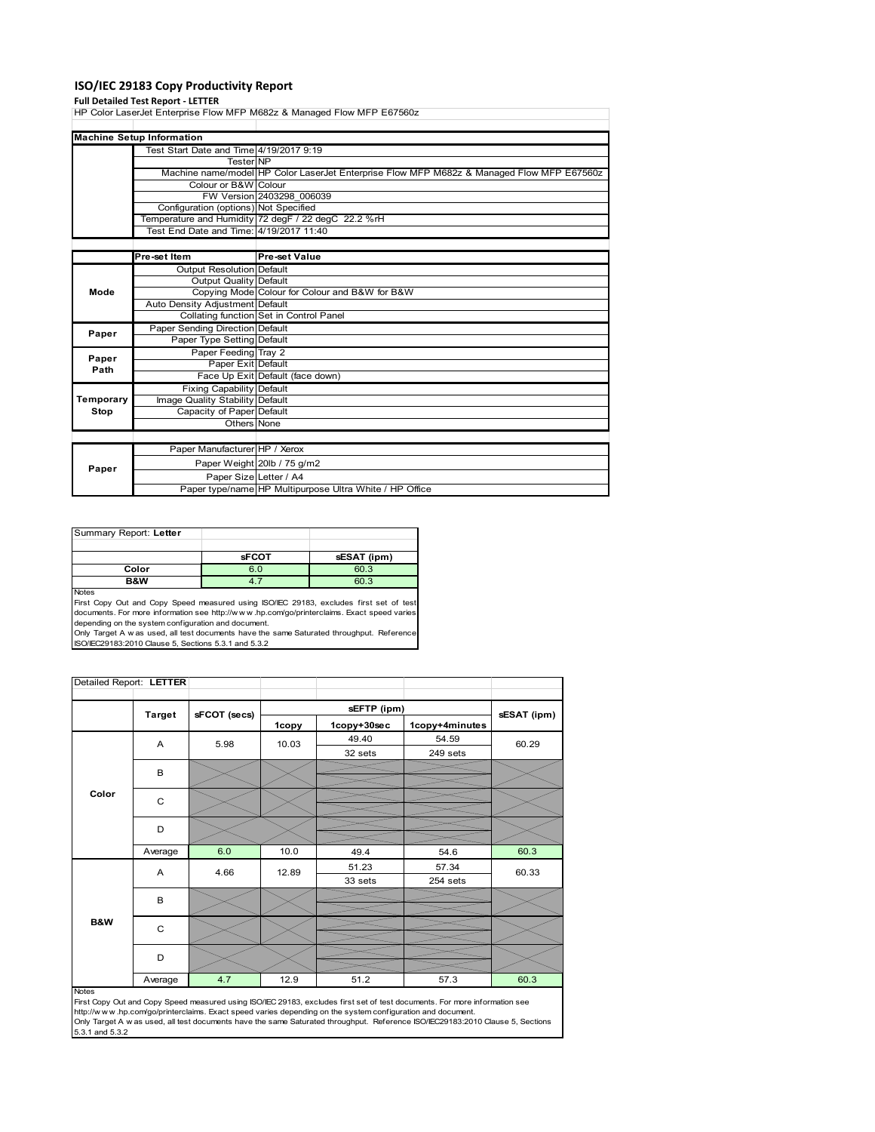### **ISO/IEC 29183 Copy Productivity Report**

**Full Detailed Test Report ‐ LETTER** HP Color LaserJet Enterprise Flow MFP M682z & Managed Flow MFP E67560z

|           | <b>Machine Setup Information</b>        |                                                                                           |
|-----------|-----------------------------------------|-------------------------------------------------------------------------------------------|
|           | Test Start Date and Time 4/19/2017 9:19 |                                                                                           |
|           | <b>TesterINP</b>                        |                                                                                           |
|           |                                         | Machine name/model HP Color LaserJet Enterprise Flow MFP M682z & Managed Flow MFP E67560z |
|           | Colour or B&W Colour                    |                                                                                           |
|           |                                         | FW Version 2403298 006039                                                                 |
|           | Configuration (options) Not Specified   |                                                                                           |
|           |                                         | Temperature and Humidity 72 degF / 22 degC 22.2 %rH                                       |
|           | Test End Date and Time: 4/19/2017 11:40 |                                                                                           |
|           |                                         |                                                                                           |
|           | Pre-set Item                            | <b>Pre-set Value</b>                                                                      |
|           | Output Resolution Default               |                                                                                           |
|           | Output Quality Default                  |                                                                                           |
| Mode      |                                         | Copying Mode Colour for Colour and B&W for B&W                                            |
|           | Auto Density Adjustment Default         |                                                                                           |
|           |                                         | Collating function Set in Control Panel                                                   |
| Paper     | Paper Sending Direction Default         |                                                                                           |
|           | Paper Type Setting Default              |                                                                                           |
| Paper     | Paper Feeding Tray 2                    |                                                                                           |
| Path      | Paper Exit Default                      |                                                                                           |
|           |                                         | Face Up Exit Default (face down)                                                          |
|           | <b>Fixing Capability Default</b>        |                                                                                           |
| Temporary | Image Quality Stability Default         |                                                                                           |
| Stop      | Capacity of Paper Default               |                                                                                           |
|           | Others None                             |                                                                                           |
|           |                                         |                                                                                           |
|           | Paper Manufacturer HP / Xerox           |                                                                                           |
|           |                                         | Paper Weight 20lb / 75 g/m2                                                               |
| Paper     |                                         | Paper Size Letter / A4                                                                    |
|           |                                         | Paper type/name HP Multipurpose Ultra White / HP Office                                   |

| Summary Report: Letter |              |             |
|------------------------|--------------|-------------|
|                        |              |             |
|                        | <b>sFCOT</b> | sESAT (ipm) |
| Color                  | 6.0          | 60.3        |
| B&W                    |              | 60.3        |
| <b>Notes</b>           |              |             |

Notes<br>First Copy Out and Copy Speed measured using ISO/IEC 29183, excludes first set of test<br>documents. For more information see http://www..hp.com/go/printerclaims. Exact speed varies depending on the system configuration and document.

Only Target A w as used, all test documents have the same Saturated throughput. Reference ISO/IEC29183:2010 Clause 5, Sections 5.3.1 and 5.3.2

| Detailed Report: LETTER |               |              |         |             |                |             |
|-------------------------|---------------|--------------|---------|-------------|----------------|-------------|
|                         |               |              |         | sEFTP (ipm) |                |             |
|                         | <b>Target</b> | sFCOT (secs) | 1copy   | 1copy+30sec | 1copy+4minutes | sESAT (ipm) |
|                         | A             | 5.98         | 10.03   | 49.40       | 54.59          | 60.29       |
|                         |               |              |         | 32 sets     | 249 sets       |             |
|                         | B             |              |         |             |                |             |
| Color                   | C             |              |         |             |                |             |
|                         | D             |              |         |             |                |             |
|                         | Average       | 6.0          | 10.0    | 49.4        | 54.6           | 60.3        |
|                         | Α             | 4.66         | 12.89   | 51.23       | 57.34          | 60.33       |
|                         |               |              | 33 sets | 254 sets    |                |             |
|                         | в             |              |         |             |                |             |
| <b>B&amp;W</b>          | $\mathsf{C}$  |              |         |             |                |             |
|                         | D             |              |         |             |                |             |
|                         | Average       | 4.7          | 12.9    | 51.2        | 57.3           | 60.3        |

### Notes

First Copy Out and Copy Speed measured using ISO/IEC 29183, excludes first set of test documents. For more information see<br>http://w w w.hp.com/go/printerclaims. Exact speed varies depending on the system configuration and 5.3.1 and 5.3.2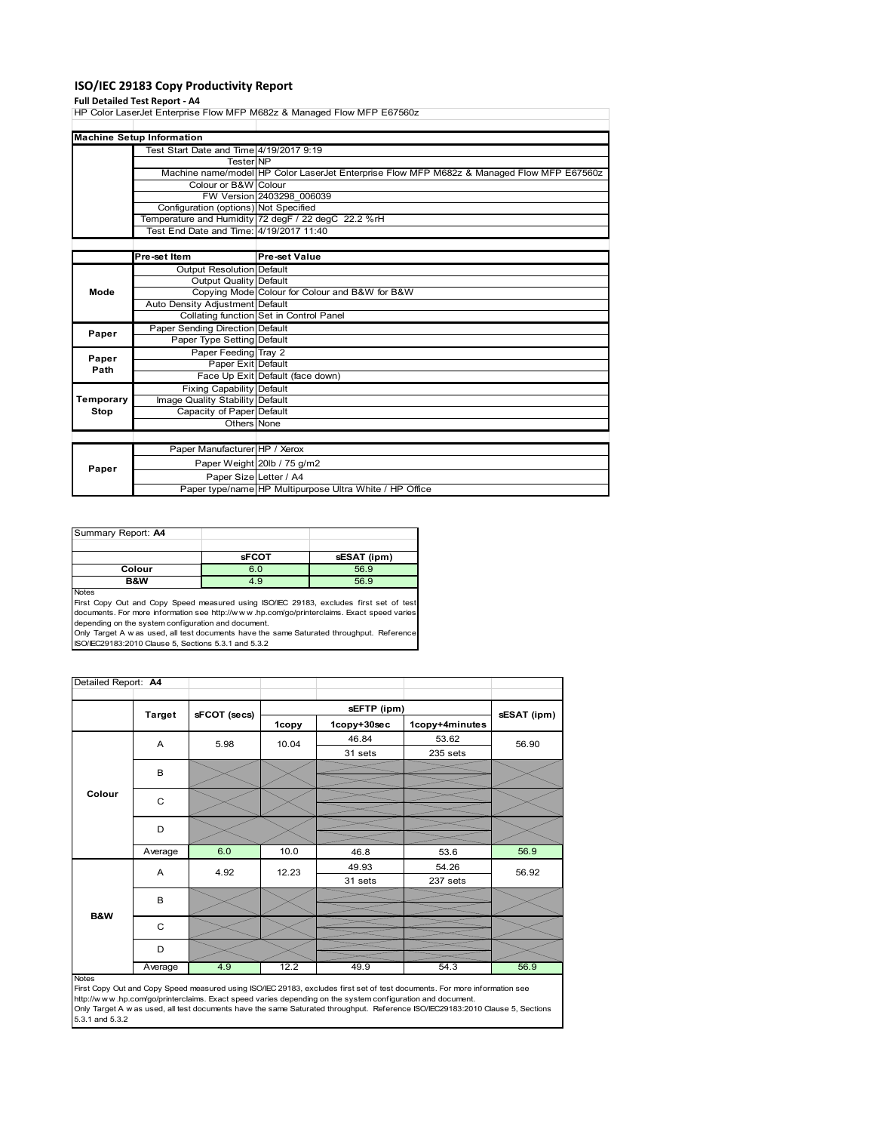### **ISO/IEC 29183 Copy Productivity Report**

**Full Detailed Test Report ‐ A4** HP Color LaserJet Enterprise Flow MFP M682z & Managed Flow MFP E67560z

|           | <b>Machine Setup Information</b>        |                                                                                           |
|-----------|-----------------------------------------|-------------------------------------------------------------------------------------------|
|           | Test Start Date and Time 4/19/2017 9:19 |                                                                                           |
|           | <b>Tester NP</b>                        |                                                                                           |
|           |                                         | Machine name/model HP Color LaserJet Enterprise Flow MFP M682z & Managed Flow MFP E67560z |
|           | Colour or B&W Colour                    |                                                                                           |
|           |                                         | FW Version 2403298 006039                                                                 |
|           | Configuration (options) Not Specified   |                                                                                           |
|           |                                         | Temperature and Humidity 72 degF / 22 degC 22.2 %rH                                       |
|           | Test End Date and Time: 4/19/2017 11:40 |                                                                                           |
|           |                                         |                                                                                           |
|           | Pre-set Item                            | <b>Pre-set Value</b>                                                                      |
|           | <b>Output Resolution Default</b>        |                                                                                           |
|           | Output Quality Default                  |                                                                                           |
| Mode      |                                         | Copying Mode Colour for Colour and B&W for B&W                                            |
|           | Auto Density Adjustment Default         |                                                                                           |
|           |                                         | Collating function Set in Control Panel                                                   |
| Paper     | Paper Sending Direction Default         |                                                                                           |
|           | Paper Type Setting Default              |                                                                                           |
| Paper     | Paper Feeding Tray 2                    |                                                                                           |
| Path      | Paper Exit Default                      |                                                                                           |
|           |                                         | Face Up Exit Default (face down)                                                          |
|           | <b>Fixing Capability Default</b>        |                                                                                           |
| Temporary | Image Quality Stability Default         |                                                                                           |
| Stop      | Capacity of Paper Default               |                                                                                           |
|           | Others None                             |                                                                                           |
|           |                                         |                                                                                           |
|           | Paper Manufacturer HP / Xerox           |                                                                                           |
|           |                                         | Paper Weight 20lb / 75 g/m2                                                               |
| Paper     | Paper Size Letter / A4                  |                                                                                           |
|           |                                         | Paper type/name HP Multipurpose Ultra White / HP Office                                   |

| Summary Report: A4 |              |             |
|--------------------|--------------|-------------|
|                    |              |             |
|                    | <b>sFCOT</b> | sESAT (ipm) |
| Colour             | 6.0          | 56.9        |
| B&W                | 4.9          | 56.9        |
| <b>Notes</b>       |              |             |

Notes<br>First Copy Out and Copy Speed measured using ISO/IEC 29183, excludes first set of test<br>documents. For more information see http://www..hp.com/go/printerclaims. Exact speed varies

depending on the system configuration and document.<br>Only Target A w as used, all test documents have the same Saturated throughput. Reference<br>ISO/IEC29183:2010 Clause 5, Sections 5.3.1 and 5.3.2

| Detailed Report: A4 |               |              |       |             |                |             |
|---------------------|---------------|--------------|-------|-------------|----------------|-------------|
|                     |               |              |       | sEFTP (ipm) |                |             |
|                     | <b>Target</b> | sFCOT (secs) | 1copy | 1copy+30sec | 1copy+4minutes | sESAT (ipm) |
| Colour              | A             | 5.98         | 10.04 | 46.84       | 53.62          | 56.90       |
|                     |               |              |       | 31 sets     | 235 sets       |             |
|                     | B             |              |       |             |                |             |
|                     | $\mathsf{C}$  |              |       |             |                |             |
|                     | D             |              |       |             |                |             |
|                     | Average       | 6.0          | 10.0  | 46.8        | 53.6           | 56.9        |
|                     | A             | 4.92         | 12.23 | 49.93       | 54.26          | 56.92       |
|                     |               |              |       | 31 sets     | 237 sets       |             |
| B&W                 | B             |              |       |             |                |             |
|                     | C             |              |       |             |                |             |
|                     | D             |              |       |             |                |             |
|                     | Average       | 4.9          | 12.2  | 49.9        | 54.3           | 56.9        |

Notes<br>First Copy Out and Copy Speed measured using ISO/IEC 29183, excludes first set of test documents. For more information see<br>http://www.hp.com/go/printerclaims. Exact speed varies depending on the system configuration Only Target A w as used, all test documents have the same Saturated throughput. Reference ISO/IEC29183:2010 Clause 5, Sections 5.3.1 and 5.3.2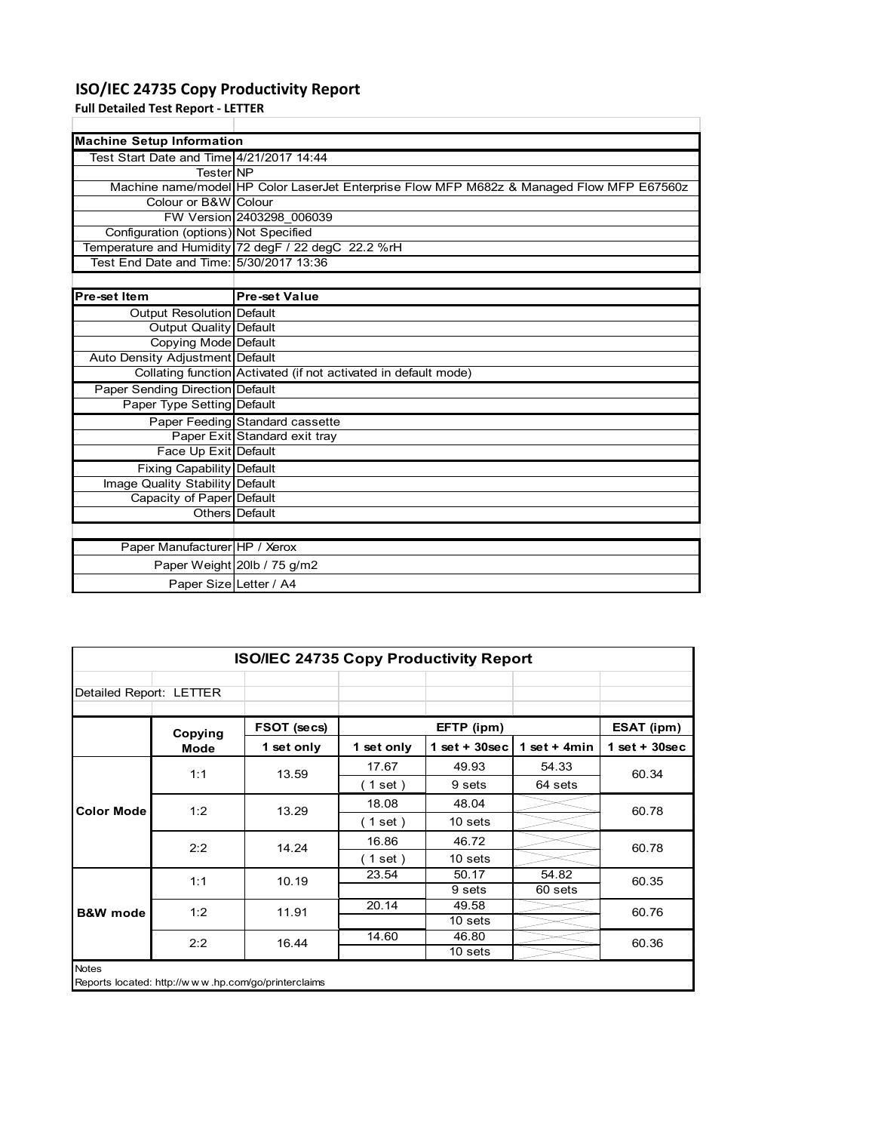## **ISO/IEC 24735 Copy Productivity Report**

Paper Size Letter / A4

**Full Detailed Test Report ‐ LETTER**

| <b>Machine Setup Information</b>         |                                                                                           |
|------------------------------------------|-------------------------------------------------------------------------------------------|
| Test Start Date and Time 4/21/2017 14:44 |                                                                                           |
| <b>TesterINP</b>                         |                                                                                           |
|                                          | Machine name/model HP Color LaserJet Enterprise Flow MFP M682z & Managed Flow MFP E67560z |
| Colour or B&W Colour                     |                                                                                           |
|                                          | FW Version 2403298 006039                                                                 |
| Configuration (options) Not Specified    |                                                                                           |
|                                          | Temperature and Humidity 72 degF / 22 degC 22.2 %rH                                       |
| Test End Date and Time: 5/30/2017 13:36  |                                                                                           |
|                                          |                                                                                           |
| Pre-set Item                             | <b>Pre-set Value</b>                                                                      |
| <b>Output Resolution Default</b>         |                                                                                           |
| Output Quality Default                   |                                                                                           |
| <b>Copying Mode Default</b>              |                                                                                           |
| Auto Density Adjustment Default          |                                                                                           |
|                                          | Collating function Activated (if not activated in default mode)                           |
| Paper Sending Direction Default          |                                                                                           |
| Paper Type Setting Default               |                                                                                           |
|                                          | Paper Feeding Standard cassette                                                           |
|                                          | Paper Exit Standard exit tray                                                             |
| Face Up Exit Default                     |                                                                                           |
| Fixing Capability Default                |                                                                                           |
| Image Quality Stability Default          |                                                                                           |
| Capacity of Paper Default                |                                                                                           |
|                                          | Others Default                                                                            |
|                                          |                                                                                           |
| Paper Manufacturer HP / Xerox            |                                                                                           |
|                                          | Paper Weight 20lb / 75 g/m2                                                               |

| <b>ISO/IEC 24735 Copy Productivity Report</b> |             |                                                     |            |                 |                 |                 |  |
|-----------------------------------------------|-------------|-----------------------------------------------------|------------|-----------------|-----------------|-----------------|--|
| Detailed Report: LETTER                       |             |                                                     |            |                 |                 |                 |  |
|                                               | Copying     | FSOT (secs)                                         |            | EFTP (ipm)      |                 | ESAT (ipm)      |  |
|                                               | <b>Mode</b> | 1 set only                                          | 1 set only | $1$ set + 30sec | 1 set + 4 $min$ | $1$ set + 30sec |  |
|                                               | 1:1         | 13.59                                               | 17.67      | 49.93           | 54.33           | 60.34           |  |
|                                               |             |                                                     | (1 set)    | 9 sets          | 64 sets         |                 |  |
| <b>Color Mode</b>                             | 1:2         | 13.29                                               | 18.08      | 48.04           |                 | 60.78           |  |
|                                               |             |                                                     | (1 set)    | 10 sets         |                 |                 |  |
|                                               | 2:2         | 14.24                                               | 16.86      | 46.72           |                 | 60.78           |  |
|                                               |             |                                                     | (1 set)    | 10 sets         |                 |                 |  |
|                                               | 1:1         | 10.19                                               | 23.54      | 50.17           | 54.82           | 60.35           |  |
|                                               |             |                                                     |            | 9 sets          | 60 sets         |                 |  |
| <b>B&amp;W</b> mode                           | 1:2         | 11.91                                               | 20.14      | 49.58           |                 | 60.76           |  |
|                                               |             |                                                     |            | 10 sets         |                 |                 |  |
|                                               | 2:2         | 16.44                                               | 14.60      | 46.80           |                 | 60.36           |  |
|                                               |             |                                                     |            | 10 sets         |                 |                 |  |
| <b>Notes</b>                                  |             | Reports located: http://www.hp.com/go/printerclaims |            |                 |                 |                 |  |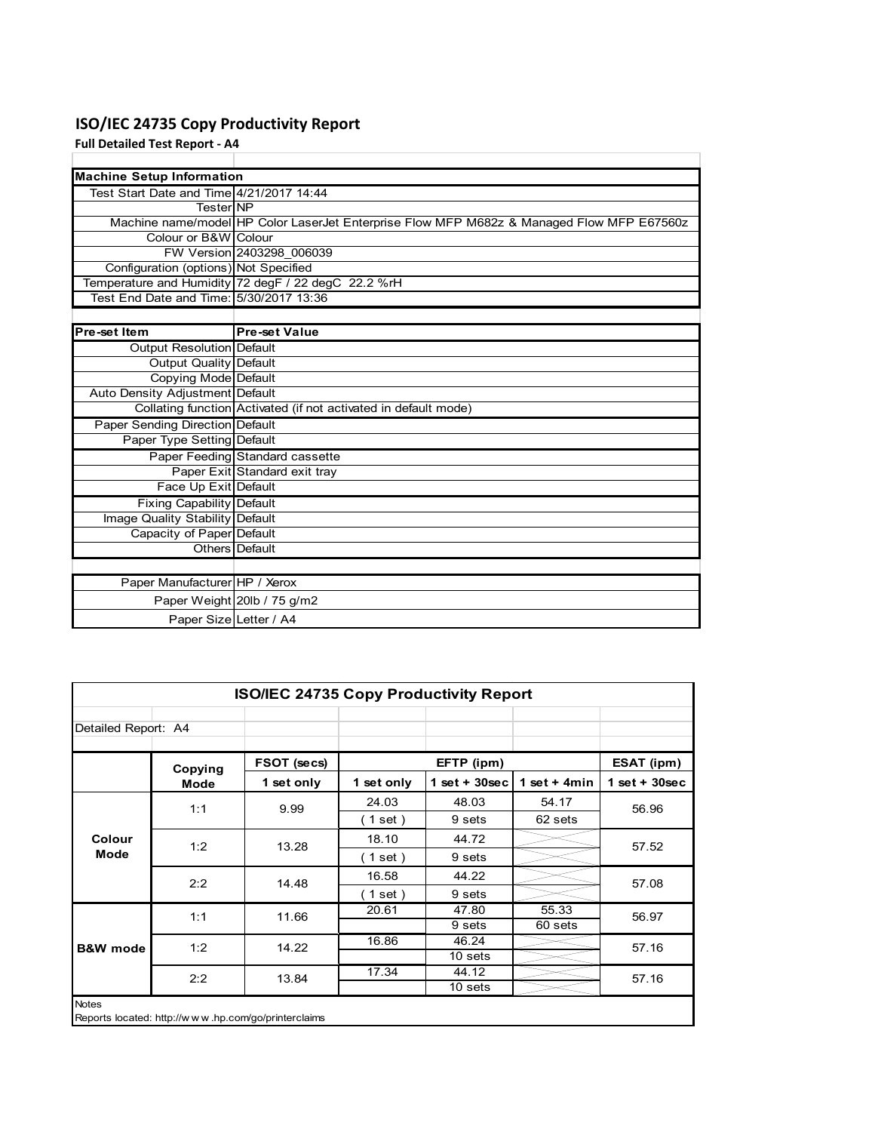## **ISO/IEC 24735 Copy Productivity Report**

**Full Detailed Test Report ‐ A4**

| <b>Machine Setup Information</b>         |                                                                                           |
|------------------------------------------|-------------------------------------------------------------------------------------------|
| Test Start Date and Time 4/21/2017 14:44 |                                                                                           |
| TesterINP                                |                                                                                           |
|                                          | Machine name/model HP Color LaserJet Enterprise Flow MFP M682z & Managed Flow MFP E67560z |
| Colour or B&W Colour                     |                                                                                           |
|                                          | FW Version 2403298 006039                                                                 |
| Configuration (options) Not Specified    |                                                                                           |
|                                          | Temperature and Humidity 72 degF / 22 degC 22.2 %rH                                       |
| Test End Date and Time: 5/30/2017 13:36  |                                                                                           |
|                                          |                                                                                           |
| Pre-set Item                             | <b>Pre-set Value</b>                                                                      |
| Output Resolution Default                |                                                                                           |
| <b>Output Quality Default</b>            |                                                                                           |
| <b>Copying Mode Default</b>              |                                                                                           |
| Auto Density Adjustment Default          |                                                                                           |
|                                          | Collating function Activated (if not activated in default mode)                           |
| Paper Sending Direction Default          |                                                                                           |
| Paper Type Setting Default               |                                                                                           |
|                                          | Paper Feeding Standard cassette                                                           |
|                                          | Paper Exit Standard exit tray                                                             |
| Face Up Exit Default                     |                                                                                           |
| <b>Fixing Capability Default</b>         |                                                                                           |
| Image Quality Stability Default          |                                                                                           |
| Capacity of Paper Default                |                                                                                           |
|                                          | Others Default                                                                            |
|                                          |                                                                                           |
| Paper Manufacturer HP / Xerox            |                                                                                           |
|                                          | Paper Weight 20lb / 75 g/m2                                                               |
| Paper Size Letter / A4                   |                                                                                           |

| <b>ISO/IEC 24735 Copy Productivity Report</b> |         |                                                     |            |                  |                 |                   |
|-----------------------------------------------|---------|-----------------------------------------------------|------------|------------------|-----------------|-------------------|
| Detailed Report: A4                           |         |                                                     |            |                  |                 |                   |
|                                               | Copying | FSOT (secs)                                         |            | EFTP (ipm)       |                 | <b>ESAT (ipm)</b> |
|                                               | Mode    | 1 set only                                          | 1 set only | 1 set + $30$ sec | 1 set + 4 $min$ | $1$ set + 30sec   |
|                                               | 1:1     | 9.99                                                | 24.03      | 48.03            | 54.17           | 56.96             |
|                                               |         |                                                     | (1 set)    | 9 sets           | 62 sets         |                   |
| Colour                                        | 1:2     | 13.28                                               | 18.10      | 44.72            |                 | 57.52             |
| Mode                                          |         |                                                     | (1 set)    | 9 sets           |                 |                   |
|                                               | 2:2     | 14.48                                               | 16.58      | 44.22            |                 | 57.08             |
|                                               |         |                                                     | (1 set)    | 9 sets           |                 |                   |
|                                               | 1:1     | 11.66                                               | 20.61      | 47.80            | 55.33           | 56.97             |
|                                               |         |                                                     |            | 9 sets           | 60 sets         |                   |
| <b>B&amp;W</b> mode                           | 1:2     | 14.22                                               | 16.86      | 46.24            |                 | 57.16             |
|                                               |         |                                                     |            | 10 sets          |                 |                   |
|                                               | 2:2     | 13.84                                               | 17.34      | 44.12            |                 | 57.16             |
|                                               |         |                                                     |            | 10 sets          |                 |                   |
| <b>Notes</b>                                  |         | Reports located: http://www.hp.com/go/printerclaims |            |                  |                 |                   |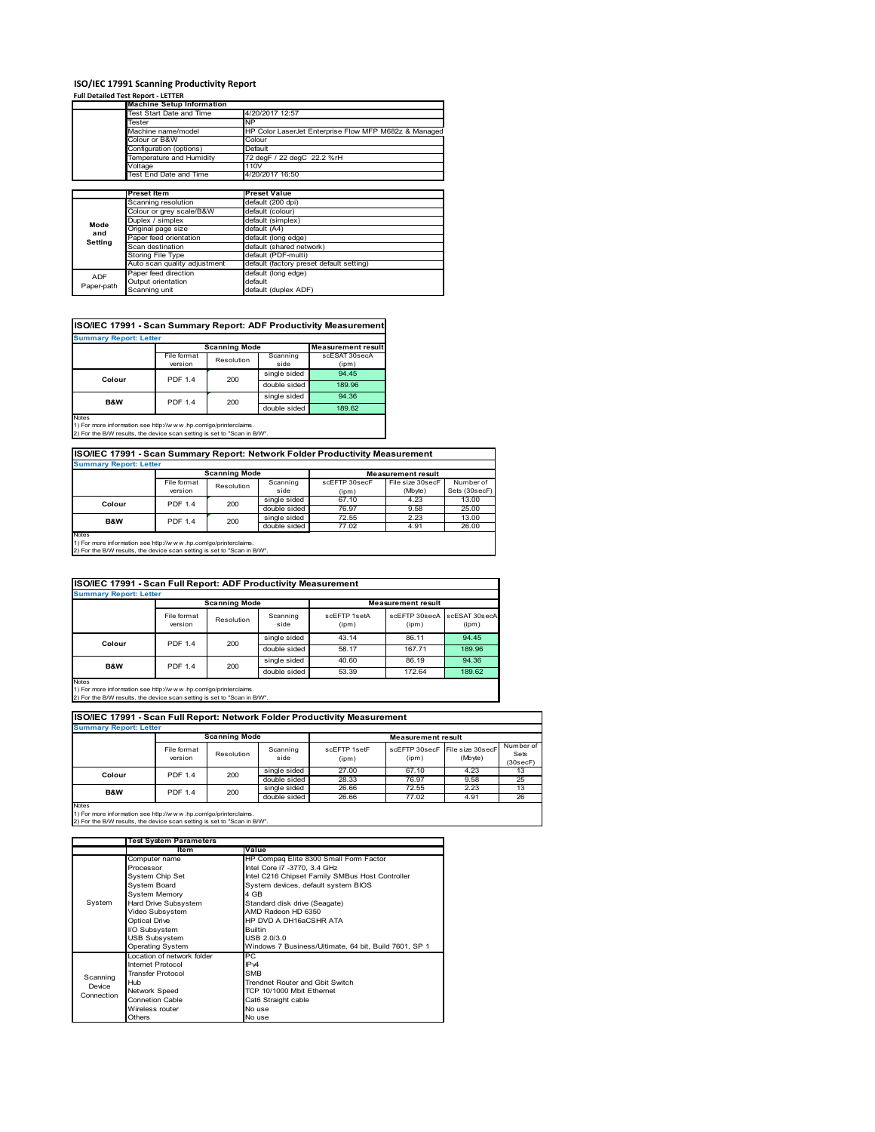### **ISO/IEC 17991 Scanning Productivity Report**

### **Full Detailed Test Report ‐ LETTER**

|            | <b>Machine Setup Information</b> |                                                       |  |  |  |  |
|------------|----------------------------------|-------------------------------------------------------|--|--|--|--|
|            | Test Start Date and Time         | 4/20/2017 12:57                                       |  |  |  |  |
|            | Tester                           | <b>NP</b>                                             |  |  |  |  |
|            | Machine name/model               | HP Color LaserJet Enterprise Flow MFP M682z & Managed |  |  |  |  |
|            | Colour or B&W                    | Colour                                                |  |  |  |  |
|            | Configuration (options)          | Default                                               |  |  |  |  |
|            | Temperature and Humidity         | 72 degF / 22 degC 22.2 %rH                            |  |  |  |  |
|            | 110V<br>Voltage                  |                                                       |  |  |  |  |
|            | Test End Date and Time           | 4/20/2017 16:50                                       |  |  |  |  |
|            |                                  |                                                       |  |  |  |  |
|            | <b>Preset Item</b>               | <b>Preset Value</b>                                   |  |  |  |  |
|            | Scanning resolution              | default (200 dpi)                                     |  |  |  |  |
|            | Colour or grey scale/B&W         | default (colour)                                      |  |  |  |  |
| Mode       | Duplex / simplex                 | default (simplex)                                     |  |  |  |  |
| and        | Original page size               | default (A4)                                          |  |  |  |  |
| Setting    | Paper feed orientation           | default (long edge)                                   |  |  |  |  |
|            | Scan destination                 | default (shared network)                              |  |  |  |  |
|            | Storing File Type                | default (PDF-multi)                                   |  |  |  |  |
|            | Auto scan quality adjustment     | default (factory preset default setting)              |  |  |  |  |
| <b>ADF</b> | Paper feed direction             | default (long edge)                                   |  |  |  |  |
|            | Output orientation               | default                                               |  |  |  |  |
| Paper-path | Scanning unit                    | default (duplex ADF)                                  |  |  |  |  |

### **ISO/IEC 17991 - Scan Summary Report: ADF Productivity Measurement**

| <b>Summary Report: Letter</b> |                |                      |                           |               |  |  |
|-------------------------------|----------------|----------------------|---------------------------|---------------|--|--|
|                               |                | <b>Scanning Mode</b> | <b>Measurement result</b> |               |  |  |
|                               | File format    | Resolution           | Scanning                  | scESAT 30secA |  |  |
|                               | version        |                      | side                      | (ipm)         |  |  |
| Colour                        | <b>PDF 1.4</b> | 200                  | single sided              | 94.45         |  |  |
|                               |                |                      | double sided              | 189.96        |  |  |
| <b>B&amp;W</b>                | <b>PDF 1.4</b> | 200                  | single sided              | 94.36         |  |  |
|                               |                |                      | double sided              | 189.62        |  |  |
| <b>Notes</b>                  |                |                      |                           |               |  |  |

1) For more information see http://w w w .hp.com/go/printerclaims. 2) For the B/W results, the device scan setting is set to "Scan in B/W".

### **ISO/IEC 17991 - Scan Summary Report: Network Folder Productivity Measurement**

| <b>Summary Report: Letter</b> |                           |          |               |                           |           |               |
|-------------------------------|---------------------------|----------|---------------|---------------------------|-----------|---------------|
|                               | <b>Scanning Mode</b>      |          |               | <b>Measurement result</b> |           |               |
|                               | File format<br>Resolution | Scanning | scEFTP 30secF | File size 30secF          | Number of |               |
|                               | version                   |          | side          | (ipm)                     | (Mbyte)   | Sets (30secF) |
| Colour                        | <b>PDF 1.4</b>            | 200      | single sided  | 67.10                     | 4.23      | 13.00         |
|                               |                           |          | double sided  | 76.97                     | 9.58      | 25.00         |
| <b>B&amp;W</b>                | <b>PDF 1.4</b>            | 200      | single sided  | 72.55                     | 2.23      | 13.00         |
|                               |                           |          | double sided  | 77.02                     | 4.91      | 26.00         |
| Notes                         |                           |          |               |                           |           |               |

Notes 1) For more information see http://w w w .hp.com/go/printerclaims. 2) For the B/W results, the device scan setting is set to "Scan in B/W".

### File format version Resolution Scanning side scEFTP 1setA (ipm) scEFTP 30secA (ipm) scESAT 30secA (ipm) single sided 43.14 86.11 94.45 double sided 58.17 167.71 189.96<br>single sided 40.60 86.19 94.36 single sided 40.60 86.19 94.36<br>double sided 53.39 172.64 189.62 double si **ISO/IEC 17991 - Scan Full Report: ADF Productivity Measurement Immary Report: Letter Measurement** re **Scanning Mode Colour** PDF 1.4 200 **B&W** PDF 1.4 200

Notes 1) For more information see http://w w w .hp.com/go/printerclaims. 2) For the B/W results, the device scan setting is set to "Scan in B/W".

|                |                                                   |                               |                  |                       | ISO/IEC 17991 - Scan Full Report: Network Folder Productivity Measurement |                             |                               |  |  |  |  |  |  |
|----------------|---------------------------------------------------|-------------------------------|------------------|-----------------------|---------------------------------------------------------------------------|-----------------------------|-------------------------------|--|--|--|--|--|--|
|                |                                                   | <b>Summary Report: Letter</b> |                  |                       |                                                                           |                             |                               |  |  |  |  |  |  |
|                | <b>Scanning Mode</b><br><b>Measurement result</b> |                               |                  |                       |                                                                           |                             |                               |  |  |  |  |  |  |
|                | File format<br>version                            | Resolution                    | Scanning<br>side | scFFTP 1setF<br>(ipm) | scFFTP 30secF<br>(ipm)                                                    | File size 30secF<br>(Mbyte) | Number of<br>Sets<br>(30secF) |  |  |  |  |  |  |
| Colour         | <b>PDF 1.4</b>                                    | 200                           | single sided     | 27.00                 | 67.10                                                                     | 4.23                        | 13                            |  |  |  |  |  |  |
|                |                                                   |                               | double sided     | 28.33                 | 76.97                                                                     | 9.58                        | 25                            |  |  |  |  |  |  |
| <b>B&amp;W</b> | <b>PDF 1.4</b>                                    | 200                           | single sided     | 26.66                 | 72.55                                                                     | 2.23                        | 13                            |  |  |  |  |  |  |
|                |                                                   |                               | double sided     | 26.66                 | 77.02                                                                     | 4.91                        | 26                            |  |  |  |  |  |  |

1) For more information see http://w w w .hp.com/go/printerclaims. 2) For the B/W results, the device scan setting is set to "Scan in B/W".

|            | <b>Test System Parameters</b> |                                                       |  |  |
|------------|-------------------------------|-------------------------------------------------------|--|--|
|            | Item                          | Value                                                 |  |  |
|            | Computer name                 | HP Compaq Elite 8300 Small Form Factor                |  |  |
|            | Processor                     | Intel Core i7 -3770, 3.4 GHz                          |  |  |
|            | System Chip Set               | Intel C216 Chipset Family SMBus Host Controller       |  |  |
|            | System Board                  | System devices, default system BIOS                   |  |  |
|            | <b>System Memory</b>          | 4 GB                                                  |  |  |
| System     | Hard Drive Subsystem          | Standard disk drive (Seagate)                         |  |  |
|            | Video Subsystem               | AMD Radeon HD 6350                                    |  |  |
|            | <b>Optical Drive</b>          | HP DVD A DH16aCSHR ATA                                |  |  |
|            | I/O Subsystem                 | <b>Builtin</b>                                        |  |  |
|            | <b>USB Subsystem</b>          | USB 2.0/3.0                                           |  |  |
|            | <b>Operating System</b>       | Windows 7 Business/Ultimate, 64 bit, Build 7601, SP 1 |  |  |
|            | Location of network folder    | РC                                                    |  |  |
|            | Internet Protocol             | IP <sub>v4</sub>                                      |  |  |
| Scanning   | <b>Transfer Protocol</b>      | <b>SMB</b>                                            |  |  |
| Device     | Hub                           | Trendnet Router and Gbit Switch                       |  |  |
| Connection | Network Speed                 | TCP 10/1000 Mbit Ethernet                             |  |  |
|            | <b>Connetion Cable</b>        | Cat6 Straight cable                                   |  |  |
|            | Wireless router               | No use                                                |  |  |
|            | Others                        | No use                                                |  |  |